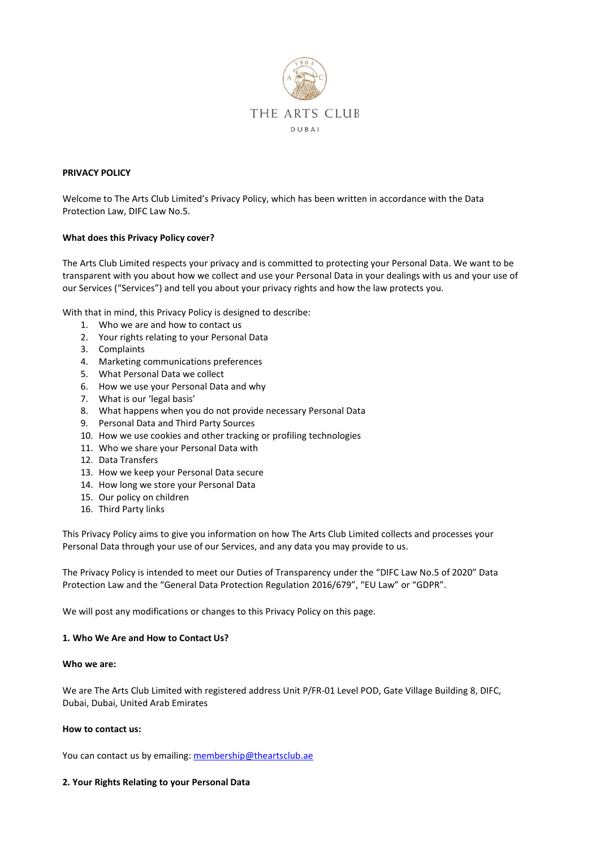

### **PRIVACY POLICY**

Welcome to The Arts Club Limited's Privacy Policy, which has been written in accordance with the Data Protection Law, DIFC Law No.5.

### **What does this Privacy Policy cover?**

The Arts Club Limited respects your privacy and is committed to protecting your Personal Data. We want to be transparent with you about how we collect and use your Personal Data in your dealings with us and your use of our Services ("Services") and tell you about your privacy rights and how the law protects you.

With that in mind, this Privacy Policy is designed to describe:

- 1. Who we are and how to contact us
- 2. Your rights relating to your Personal Data
- 3. Complaints
- 4. Marketing communications preferences
- 5. What Personal Data we collect
- 6. How we use your Personal Data and why
- 7. What is our 'legal basis'
- 8. What happens when you do not provide necessary Personal Data
- 9. Personal Data and Third Party Sources
- 10. How we use cookies and other tracking or profiling technologies
- 11. Who we share your Personal Data with
- 12. Data Transfers
- 13. How we keep your Personal Data secure
- 14. How long we store your Personal Data
- 15. Our policy on children
- 16. Third Party links

This Privacy Policy aims to give you information on how The Arts Club Limited collects and processes your Personal Data through your use of our Services, and any data you may provide to us.

The Privacy Policy is intended to meet our Duties of Transparency under the "DIFC Law No.5 of 2020" Data Protection Law and the "General Data Protection Regulation 2016/679", "EU Law" or "GDPR".

We will post any modifications or changes to this Privacy Policy on this page.

#### **1. Who We Are and How to Contact Us?**

#### **Who we are:**

We are The Arts Club Limited with registered address Unit P/FR-01 Level POD, Gate Village Building 8, DIFC, Dubai, Dubai, United Arab Emirates

#### **How to contact us:**

You can contact us by emailing: [membership@theartsclub.ae](mailto:membership@theartsclub.ae)

#### **2. Your Rights Relating to your Personal Data**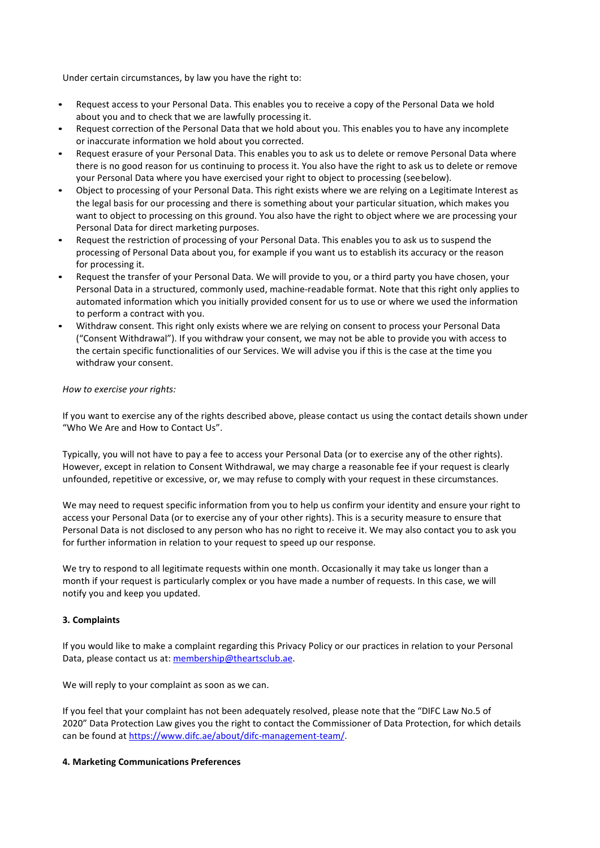Under certain circumstances, by law you have the right to:

- Request access to your Personal Data. This enables you to receive a copy of the Personal Data we hold about you and to check that we are lawfully processing it.
- Request correction of the Personal Data that we hold about you. This enables you to have any incomplete or inaccurate information we hold about you corrected.
- Request erasure of your Personal Data. This enables you to ask us to delete or remove Personal Data where there is no good reason for us continuing to process it. You also have the right to ask us to delete or remove your Personal Data where you have exercised your right to object to processing (seebelow).
- Object to processing of your Personal Data. This right exists where we are relying on a Legitimate Interest as the legal basis for our processing and there is something about your particular situation, which makes you want to object to processing on this ground. You also have the right to object where we are processing your Personal Data for direct marketing purposes.
- Request the restriction of processing of your Personal Data. This enables you to ask us to suspend the processing of Personal Data about you, for example if you want us to establish its accuracy or the reason for processing it.
- Request the transfer of your Personal Data. We will provide to you, or a third party you have chosen, your Personal Data in a structured, commonly used, machine-readable format. Note that this right only applies to automated information which you initially provided consent for us to use or where we used the information to perform a contract with you.
- Withdraw consent. This right only exists where we are relying on consent to process your Personal Data ("Consent Withdrawal"). If you withdraw your consent, we may not be able to provide you with access to the certain specific functionalities of our Services. We will advise you if this is the case at the time you withdraw your consent.

### *How to exercise your rights:*

If you want to exercise any of the rights described above, please contact us using the contact details shown under "Who We Are and How to Contact Us".

Typically, you will not have to pay a fee to access your Personal Data (or to exercise any of the other rights). However, except in relation to Consent Withdrawal, we may charge a reasonable fee if your request is clearly unfounded, repetitive or excessive, or, we may refuse to comply with your request in these circumstances.

We may need to request specific information from you to help us confirm your identity and ensure your right to access your Personal Data (or to exercise any of your other rights). This is a security measure to ensure that Personal Data is not disclosed to any person who has no right to receive it. We may also contact you to ask you for further information in relation to your request to speed up our response.

We try to respond to all legitimate requests within one month. Occasionally it may take us longer than a month if your request is particularly complex or you have made a number of requests. In this case, we will notify you and keep you updated.

### **3. Complaints**

If you would like to make a complaint regarding this Privacy Policy or our practices in relation to your Personal Data, please contact us at[: membership@theartsclub.ae.](mailto:membership@theartsclub.ae) 

We will reply to your complaint as soon as we can.

If you feel that your complaint has not been adequately resolved, please note that the "DIFC Law No.5 of 2020" Data Protection Law gives you the right to contact the Commissioner of Data Protection, for which details can be found at [https://www.difc.ae/about/difc-management-team/.](https://www.difc.ae/about/difc-management-team/)

### **4. Marketing Communications Preferences**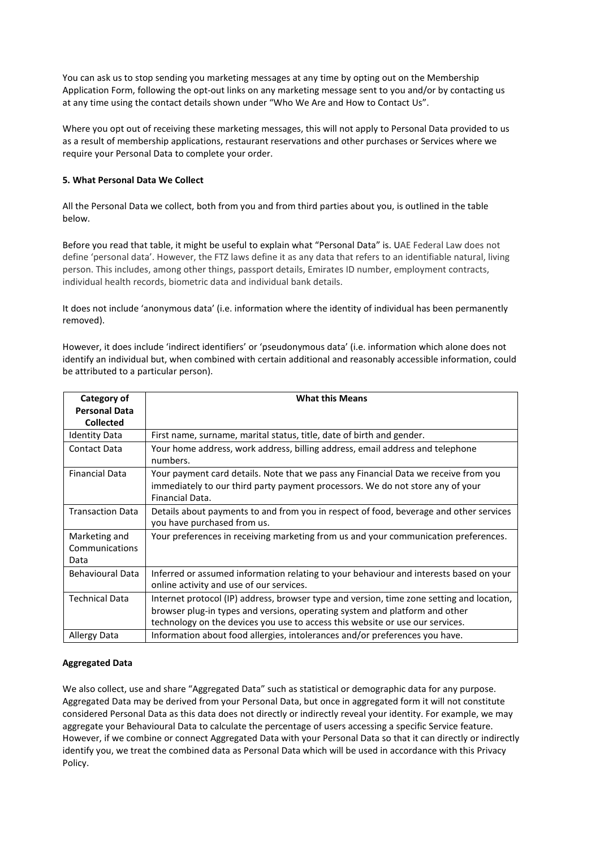You can ask us to stop sending you marketing messages at any time by opting out on the Membership Application Form, following the opt-out links on any marketing message sent to you and/or by contacting us at any time using the contact details shown under "Who We Are and How to Contact Us".

Where you opt out of receiving these marketing messages, this will not apply to Personal Data provided to us as a result of membership applications, restaurant reservations and other purchases or Services where we require your Personal Data to complete your order.

## **5. What Personal Data We Collect**

All the Personal Data we collect, both from you and from third parties about you, is outlined in the table below.

Before you read that table, it might be useful to explain what "Personal Data" is. UAE Federal Law does not define 'personal data'. However, the FTZ laws define it as any data that refers to an identifiable natural, living person. This includes, among other things, passport details, Emirates ID number, employment contracts, individual health records, biometric data and individual bank details.

It does not include 'anonymous data' (i.e. information where the identity of individual has been permanently removed).

However, it does include 'indirect identifiers' or 'pseudonymous data' (i.e. information which alone does not identify an individual but, when combined with certain additional and reasonably accessible information, could be attributed to a particular person).

| Category of                             | <b>What this Means</b>                                                                                                                                                                                                                                    |
|-----------------------------------------|-----------------------------------------------------------------------------------------------------------------------------------------------------------------------------------------------------------------------------------------------------------|
| <b>Personal Data</b>                    |                                                                                                                                                                                                                                                           |
| <b>Collected</b>                        |                                                                                                                                                                                                                                                           |
| <b>Identity Data</b>                    | First name, surname, marital status, title, date of birth and gender.                                                                                                                                                                                     |
| Contact Data                            | Your home address, work address, billing address, email address and telephone<br>numbers.                                                                                                                                                                 |
| <b>Financial Data</b>                   | Your payment card details. Note that we pass any Financial Data we receive from you<br>immediately to our third party payment processors. We do not store any of your<br>Financial Data.                                                                  |
| <b>Transaction Data</b>                 | Details about payments to and from you in respect of food, beverage and other services<br>you have purchased from us.                                                                                                                                     |
| Marketing and<br>Communications<br>Data | Your preferences in receiving marketing from us and your communication preferences.                                                                                                                                                                       |
| <b>Behavioural Data</b>                 | Inferred or assumed information relating to your behaviour and interests based on your<br>online activity and use of our services.                                                                                                                        |
| <b>Technical Data</b>                   | Internet protocol (IP) address, browser type and version, time zone setting and location,<br>browser plug-in types and versions, operating system and platform and other<br>technology on the devices you use to access this website or use our services. |
| Allergy Data                            | Information about food allergies, intolerances and/or preferences you have.                                                                                                                                                                               |

### **Aggregated Data**

We also collect, use and share "Aggregated Data" such as statistical or demographic data for any purpose. Aggregated Data may be derived from your Personal Data, but once in aggregated form it will not constitute considered Personal Data as this data does not directly or indirectly reveal your identity. For example, we may aggregate your Behavioural Data to calculate the percentage of users accessing a specific Service feature. However, if we combine or connect Aggregated Data with your Personal Data so that it can directly or indirectly identify you, we treat the combined data as Personal Data which will be used in accordance with this Privacy Policy.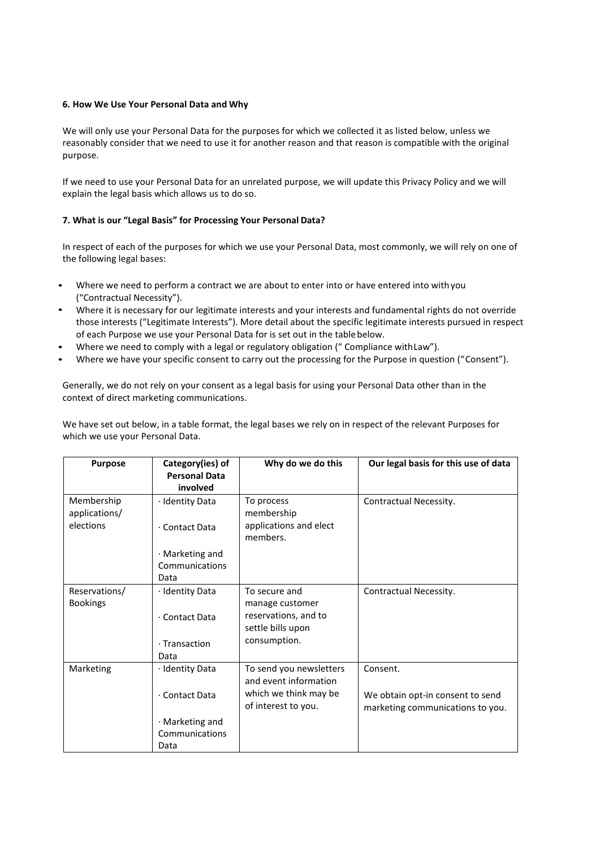### **6. How We Use Your Personal Data and Why**

We will only use your Personal Data for the purposes for which we collected it as listed below, unless we reasonably consider that we need to use it for another reason and that reason is compatible with the original purpose.

If we need to use your Personal Data for an unrelated purpose, we will update this Privacy Policy and we will explain the legal basis which allows us to do so.

### **7. What is our "Legal Basis" for Processing Your Personal Data?**

In respect of each of the purposes for which we use your Personal Data, most commonly, we will rely on one of the following legal bases:

- Where we need to perform a contract we are about to enter into or have entered into withyou ("Contractual Necessity").
- Where it is necessary for our legitimate interests and your interests and fundamental rights do not override those interests ("Legitimate Interests"). More detail about the specific legitimate interests pursued in respect of each Purpose we use your Personal Data for is set out in the table below.
- Where we need to comply with a legal or regulatory obligation (" Compliance withLaw").
- Where we have your specific consent to carry out the processing for the Purpose in question ("Consent").

Generally, we do not rely on your consent as a legal basis for using your Personal Data other than in the context of direct marketing communications.

We have set out below, in a table format, the legal bases we rely on in respect of the relevant Purposes for which we use your Personal Data.

| <b>Purpose</b>                           | Category(ies) of<br><b>Personal Data</b>                   | Why do we do this                                                                                | Our legal basis for this use of data                                             |
|------------------------------------------|------------------------------------------------------------|--------------------------------------------------------------------------------------------------|----------------------------------------------------------------------------------|
| Membership<br>applications/<br>elections | involved<br>· Identity Data<br>· Contact Data              | To process<br>membership<br>applications and elect                                               | Contractual Necessity.                                                           |
|                                          | $\cdot$ Marketing and<br>Communications<br>Data            | members.                                                                                         |                                                                                  |
| Reservations/<br><b>Bookings</b>         | · Identity Data<br>· Contact Data<br>· Transaction<br>Data | To secure and<br>manage customer<br>reservations, and to<br>settle bills upon<br>consumption.    | Contractual Necessity.                                                           |
| Marketing                                | · Identity Data<br>· Contact Data                          | To send you newsletters<br>and event information<br>which we think may be<br>of interest to you. | Consent.<br>We obtain opt-in consent to send<br>marketing communications to you. |
|                                          | · Marketing and<br>Communications<br>Data                  |                                                                                                  |                                                                                  |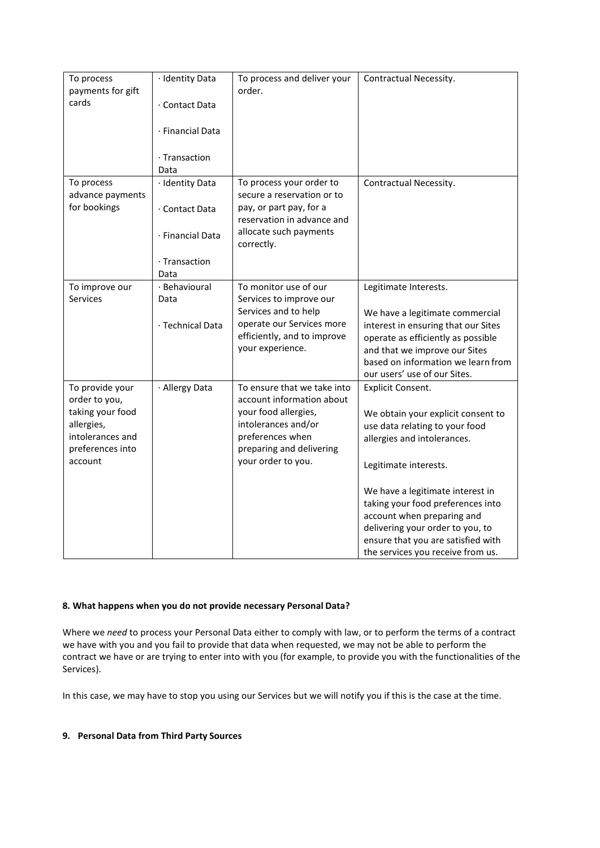| To process<br>payments for gift   | · Identity Data       | To process and deliver your<br>order.                              | Contractual Necessity.                                                 |
|-----------------------------------|-----------------------|--------------------------------------------------------------------|------------------------------------------------------------------------|
| cards                             | · Contact Data        |                                                                    |                                                                        |
|                                   | · Financial Data      |                                                                    |                                                                        |
|                                   | · Transaction<br>Data |                                                                    |                                                                        |
| To process                        | · Identity Data       | To process your order to                                           | Contractual Necessity.                                                 |
| advance payments<br>for bookings  | · Contact Data        | secure a reservation or to<br>pay, or part pay, for a              |                                                                        |
|                                   | · Financial Data      | reservation in advance and<br>allocate such payments<br>correctly. |                                                                        |
|                                   | · Transaction<br>Data |                                                                    |                                                                        |
| To improve our<br><b>Services</b> | · Behavioural<br>Data | To monitor use of our<br>Services to improve our                   | Legitimate Interests.                                                  |
|                                   |                       | Services and to help                                               | We have a legitimate commercial                                        |
|                                   | · Technical Data      | operate our Services more<br>efficiently, and to improve           | interest in ensuring that our Sites                                    |
|                                   |                       | your experience.                                                   | operate as efficiently as possible<br>and that we improve our Sites    |
|                                   |                       |                                                                    | based on information we learn from<br>our users' use of our Sites.     |
| To provide your<br>order to you,  | · Allergy Data        | To ensure that we take into<br>account information about           | <b>Explicit Consent.</b>                                               |
| taking your food                  |                       | your food allergies,                                               | We obtain your explicit consent to                                     |
| allergies,<br>intolerances and    |                       | intolerances and/or<br>preferences when                            | use data relating to your food                                         |
| preferences into                  |                       | preparing and delivering                                           | allergies and intolerances.                                            |
| account                           |                       | your order to you.                                                 | Legitimate interests.                                                  |
|                                   |                       |                                                                    | We have a legitimate interest in                                       |
|                                   |                       |                                                                    | taking your food preferences into                                      |
|                                   |                       |                                                                    | account when preparing and                                             |
|                                   |                       |                                                                    | delivering your order to you, to<br>ensure that you are satisfied with |
|                                   |                       |                                                                    | the services you receive from us.                                      |

# **8. What happens when you do not provide necessary Personal Data?**

Where we *need* to process your Personal Data either to comply with law, or to perform the terms of a contract we have with you and you fail to provide that data when requested, we may not be able to perform the contract we have or are trying to enter into with you (for example, to provide you with the functionalities of the Services).

In this case, we may have to stop you using our Services but we will notify you if this is the case at the time.

# **9. Personal Data from Third Party Sources**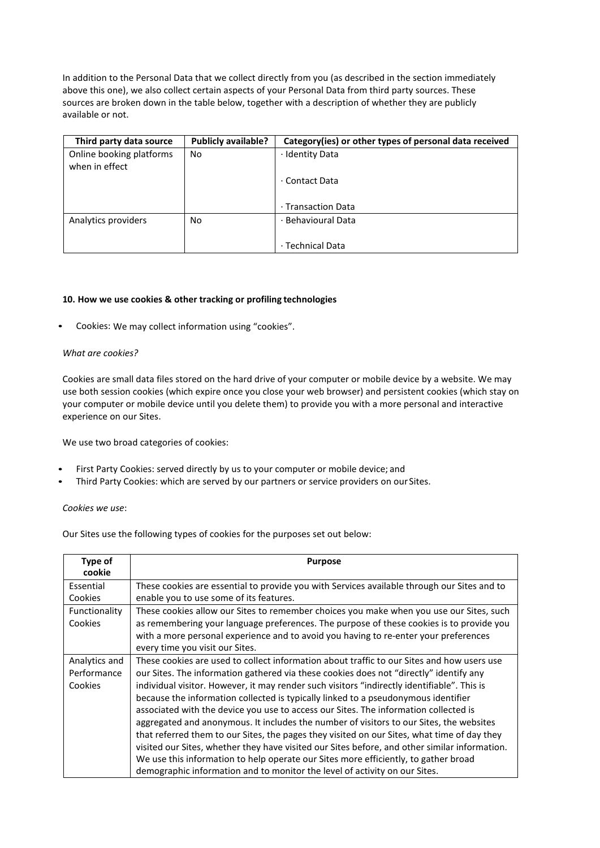In addition to the Personal Data that we collect directly from you (as described in the section immediately above this one), we also collect certain aspects of your Personal Data from third party sources. These sources are broken down in the table below, together with a description of whether they are publicly available or not.

| Third party data source                    | <b>Publicly available?</b> | Category (ies) or other types of personal data received |
|--------------------------------------------|----------------------------|---------------------------------------------------------|
| Online booking platforms<br>when in effect | No                         | · Identity Data                                         |
|                                            |                            | ⋅ Contact Data                                          |
|                                            |                            | ⋅ Transaction Data                                      |
| Analytics providers                        | No                         | · Behavioural Data                                      |
|                                            |                            | · Technical Data                                        |

### **10. How we use cookies & other tracking or profiling technologies**

• Cookies: We may collect information using "cookies".

### *What are cookies?*

Cookies are small data files stored on the hard drive of your computer or mobile device by a website. We may use both session cookies (which expire once you close your web browser) and persistent cookies (which stay on your computer or mobile device until you delete them) to provide you with a more personal and interactive experience on our Sites.

We use two broad categories of cookies:

- First Party Cookies: served directly by us to your computer or mobile device; and
- Third Party Cookies: which are served by our partners or service providers on our Sites.

*Cookies we use*:

Our Sites use the following types of cookies for the purposes set out below:

| Type of<br>cookie                       | <b>Purpose</b>                                                                                                                                                                                                                                                                                                                                                                                                                                                                                                                                                                                                                                                                                                                                                                                                                                                                                                                    |
|-----------------------------------------|-----------------------------------------------------------------------------------------------------------------------------------------------------------------------------------------------------------------------------------------------------------------------------------------------------------------------------------------------------------------------------------------------------------------------------------------------------------------------------------------------------------------------------------------------------------------------------------------------------------------------------------------------------------------------------------------------------------------------------------------------------------------------------------------------------------------------------------------------------------------------------------------------------------------------------------|
| Essential<br>Cookies                    | These cookies are essential to provide you with Services available through our Sites and to<br>enable you to use some of its features.                                                                                                                                                                                                                                                                                                                                                                                                                                                                                                                                                                                                                                                                                                                                                                                            |
| Functionality<br>Cookies                | These cookies allow our Sites to remember choices you make when you use our Sites, such<br>as remembering your language preferences. The purpose of these cookies is to provide you<br>with a more personal experience and to avoid you having to re-enter your preferences<br>every time you visit our Sites.                                                                                                                                                                                                                                                                                                                                                                                                                                                                                                                                                                                                                    |
| Analytics and<br>Performance<br>Cookies | These cookies are used to collect information about traffic to our Sites and how users use<br>our Sites. The information gathered via these cookies does not "directly" identify any<br>individual visitor. However, it may render such visitors "indirectly identifiable". This is<br>because the information collected is typically linked to a pseudonymous identifier<br>associated with the device you use to access our Sites. The information collected is<br>aggregated and anonymous. It includes the number of visitors to our Sites, the websites<br>that referred them to our Sites, the pages they visited on our Sites, what time of day they<br>visited our Sites, whether they have visited our Sites before, and other similar information.<br>We use this information to help operate our Sites more efficiently, to gather broad<br>demographic information and to monitor the level of activity on our Sites. |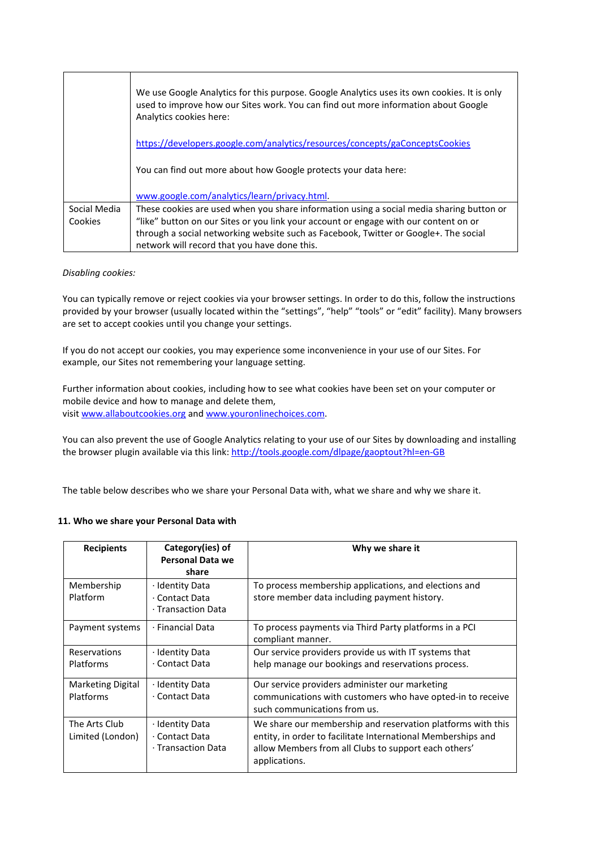|              | We use Google Analytics for this purpose. Google Analytics uses its own cookies. It is only<br>used to improve how our Sites work. You can find out more information about Google<br>Analytics cookies here: |
|--------------|--------------------------------------------------------------------------------------------------------------------------------------------------------------------------------------------------------------|
|              | https://developers.google.com/analytics/resources/concepts/gaConceptsCookies                                                                                                                                 |
|              | You can find out more about how Google protects your data here:                                                                                                                                              |
|              | www.google.com/analytics/learn/privacy.html                                                                                                                                                                  |
| Social Media | These cookies are used when you share information using a social media sharing button or                                                                                                                     |
| Cookies      | "like" button on our Sites or you link your account or engage with our content on or                                                                                                                         |
|              | through a social networking website such as Facebook, Twitter or Google+. The social                                                                                                                         |
|              | network will record that you have done this.                                                                                                                                                                 |

### *Disabling cookies:*

You can typically remove or reject cookies via your browser settings. In order to do this, follow the instructions provided by your browser (usually located within the "settings", "help" "tools" or "edit" facility). Many browsers are set to accept cookies until you change your settings.

If you do not accept our cookies, you may experience some inconvenience in your use of our Sites. For example, our Sites not remembering your language setting.

Further information about cookies, including how to see what cookies have been set on your computer or mobile device and how to manage and delete them, visi[t www.allaboutcookies.org](http://www.allaboutcookies.org/) an[d www.youronlinechoices.com.](http://www.youronlinechoices.com/uk/)

You can also prevent the use of Google Analytics relating to your use of our Sites by downloading and installing the browser plugin available via this link[: http://tools.google.com/dlpage/gaoptout?hl=en-GB](https://tools.google.com/dlpage/gaoptout?hl=en-GB)

The table below describes who we share your Personal Data with, what we share and why we share it.

### **11. Who we share your Personal Data with**

| <b>Recipients</b>                            | Category(ies) of<br><b>Personal Data we</b><br>share    | Why we share it                                                                                                                                                                                      |
|----------------------------------------------|---------------------------------------------------------|------------------------------------------------------------------------------------------------------------------------------------------------------------------------------------------------------|
| Membership<br>Platform                       | · Identity Data<br>· Contact Data<br>· Transaction Data | To process membership applications, and elections and<br>store member data including payment history.                                                                                                |
| Payment systems                              | · Financial Data                                        | To process payments via Third Party platforms in a PCI<br>compliant manner.                                                                                                                          |
| Reservations<br><b>Platforms</b>             | · Identity Data<br>· Contact Data                       | Our service providers provide us with IT systems that<br>help manage our bookings and reservations process.                                                                                          |
| <b>Marketing Digital</b><br><b>Platforms</b> | · Identity Data<br>· Contact Data                       | Our service providers administer our marketing<br>communications with customers who have opted-in to receive<br>such communications from us.                                                         |
| The Arts Club<br>Limited (London)            | · Identity Data<br>· Contact Data<br>· Transaction Data | We share our membership and reservation platforms with this<br>entity, in order to facilitate International Memberships and<br>allow Members from all Clubs to support each others'<br>applications. |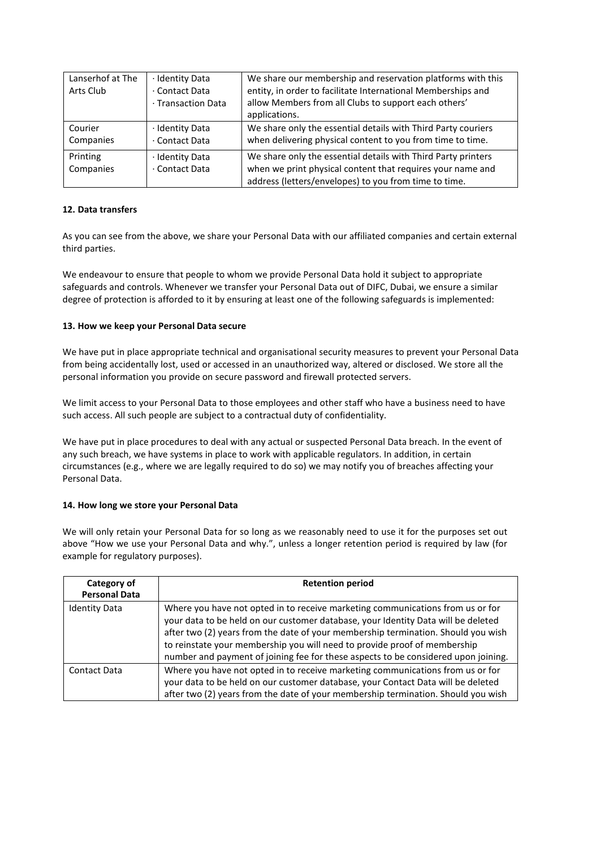| Lanserhof at The<br>Arts Club | · Identity Data<br>· Contact Data<br>· Transaction Data | We share our membership and reservation platforms with this<br>entity, in order to facilitate International Memberships and<br>allow Members from all Clubs to support each others'<br>applications. |
|-------------------------------|---------------------------------------------------------|------------------------------------------------------------------------------------------------------------------------------------------------------------------------------------------------------|
| Courier<br>Companies          | · Identity Data<br>· Contact Data                       | We share only the essential details with Third Party couriers<br>when delivering physical content to you from time to time.                                                                          |
| Printing<br>Companies         | · Identity Data<br>· Contact Data                       | We share only the essential details with Third Party printers<br>when we print physical content that requires your name and<br>address (letters/envelopes) to you from time to time.                 |

# **12. Data transfers**

As you can see from the above, we share your Personal Data with our affiliated companies and certain external third parties.

We endeavour to ensure that people to whom we provide Personal Data hold it subject to appropriate safeguards and controls. Whenever we transfer your Personal Data out of DIFC, Dubai, we ensure a similar degree of protection is afforded to it by ensuring at least one of the following safeguards is implemented:

### **13. How we keep your Personal Data secure**

We have put in place appropriate technical and organisational security measures to prevent your Personal Data from being accidentally lost, used or accessed in an unauthorized way, altered or disclosed. We store all the personal information you provide on secure password and firewall protected servers.

We limit access to your Personal Data to those employees and other staff who have a business need to have such access. All such people are subject to a contractual duty of confidentiality.

We have put in place procedures to deal with any actual or suspected Personal Data breach. In the event of any such breach, we have systems in place to work with applicable regulators. In addition, in certain circumstances (e.g., where we are legally required to do so) we may notify you of breaches affecting your Personal Data.

### **14. How long we store your Personal Data**

We will only retain your Personal Data for so long as we reasonably need to use it for the purposes set out above "How we use your Personal Data and why.", unless a longer retention period is required by law (for example for regulatory purposes).

| Category of<br><b>Personal Data</b> | <b>Retention period</b>                                                                                                                                                                                                                                                                                                                                                                                                     |
|-------------------------------------|-----------------------------------------------------------------------------------------------------------------------------------------------------------------------------------------------------------------------------------------------------------------------------------------------------------------------------------------------------------------------------------------------------------------------------|
| <b>Identity Data</b>                | Where you have not opted in to receive marketing communications from us or for<br>your data to be held on our customer database, your Identity Data will be deleted<br>after two (2) years from the date of your membership termination. Should you wish<br>to reinstate your membership you will need to provide proof of membership<br>number and payment of joining fee for these aspects to be considered upon joining. |
| Contact Data                        | Where you have not opted in to receive marketing communications from us or for<br>your data to be held on our customer database, your Contact Data will be deleted<br>after two (2) years from the date of your membership termination. Should you wish                                                                                                                                                                     |